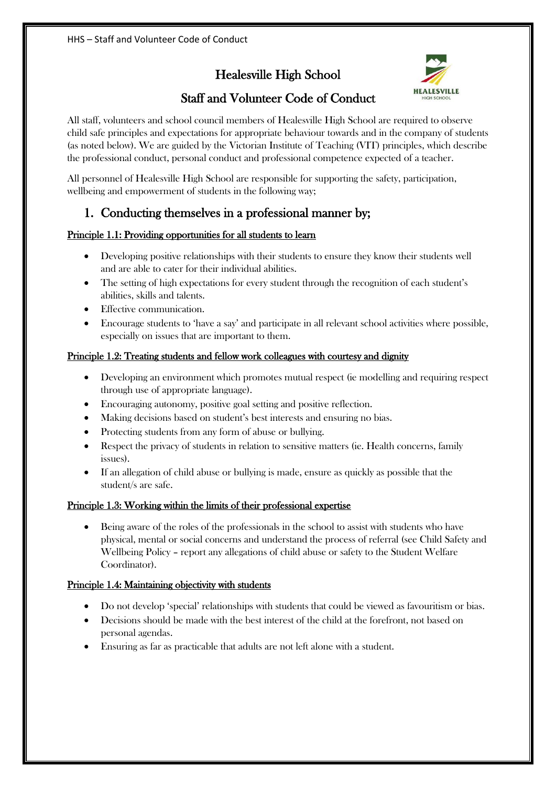Healesville High School



# Staff and Volunteer Code of Conduct

All staff, volunteers and school council members of Healesville High School are required to observe child safe principles and expectations for appropriate behaviour towards and in the company of students (as noted below). We are guided by the Victorian Institute of Teaching (VIT) principles, which describe the professional conduct, personal conduct and professional competence expected of a teacher.

All personnel of Healesville High School are responsible for supporting the safety, participation, wellbeing and empowerment of students in the following way;

# 1. Conducting themselves in a professional manner by;

## Principle 1.1: Providing opportunities for all students to learn

- Developing positive relationships with their students to ensure they know their students well and are able to cater for their individual abilities.
- The setting of high expectations for every student through the recognition of each student's abilities, skills and talents.
- Effective communication.
- x Encourage students to 'have a say' and participate in all relevant school activities where possible, especially on issues that are important to them.

## Principle 1.2: Treating students and fellow work colleagues with courtesy and dignity

- $\bullet$  Developing an environment which promotes mutual respect (ie modelling and requiring respect through use of appropriate language).
- x Encouraging autonomy, positive goal setting and positive reflection.
- Making decisions based on student's best interests and ensuring no bias.
- Protecting students from any form of abuse or bullying.
- Respect the privacy of students in relation to sensitive matters (ie. Health concerns, family issues).
- If an allegation of child abuse or bullying is made, ensure as quickly as possible that the student/s are safe.

## Principle 1.3: Working within the limits of their professional expertise

• Being aware of the roles of the professionals in the school to assist with students who have physical, mental or social concerns and understand the process of referral (see Child Safety and Wellbeing Policy – report any allegations of child abuse or safety to the Student Welfare Coordinator).

## Principle 1.4: Maintaining objectivity with students

- Do not develop 'special' relationships with students that could be viewed as favouritism or bias.
- Decisions should be made with the best interest of the child at the forefront, not based on personal agendas.
- x Ensuring as far as practicable that adults are not left alone with a student.